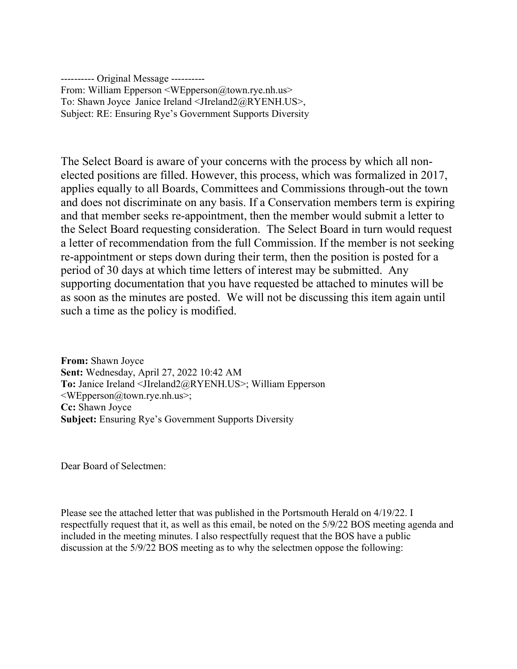---------- Original Message ---------- From: William Epperson <WEpperson@town.rye.nh.us> To: Shawn Joyce Janice Ireland <JIreland2@RYENH.US>, Subject: RE: Ensuring Rye's Government Supports Diversity

The Select Board is aware of your concerns with the process by which all nonelected positions are filled. However, this process, which was formalized in 2017, applies equally to all Boards, Committees and Commissions through-out the town and does not discriminate on any basis. If a Conservation members term is expiring and that member seeks re-appointment, then the member would submit a letter to the Select Board requesting consideration. The Select Board in turn would request a letter of recommendation from the full Commission. If the member is not seeking re-appointment or steps down during their term, then the position is posted for a period of 30 days at which time letters of interest may be submitted. Any supporting documentation that you have requested be attached to minutes will be as soon as the minutes are posted. We will not be discussing this item again until such a time as the policy is modified.

From: Shawn Joyce Sent: Wednesday, April 27, 2022 10:42 AM To: Janice Ireland <JIreland2@RYENH.US>; William Epperson <WEpperson@town.rye.nh.us>; Cc: Shawn Joyce Subject: Ensuring Rye's Government Supports Diversity

Dear Board of Selectmen:

Please see the attached letter that was published in the Portsmouth Herald on 4/19/22. I respectfully request that it, as well as this email, be noted on the 5/9/22 BOS meeting agenda and included in the meeting minutes. I also respectfully request that the BOS have a public discussion at the 5/9/22 BOS meeting as to why the selectmen oppose the following: